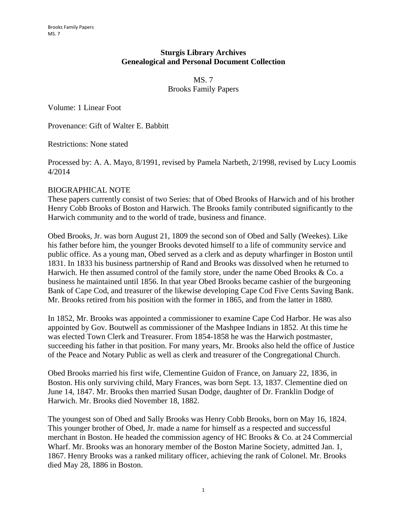## **Sturgis Library Archives Genealogical and Personal Document Collection**

MS. 7 Brooks Family Papers

Volume: 1 Linear Foot

Provenance: Gift of Walter E. Babbitt

Restrictions: None stated

Processed by: A. A. Mayo, 8/1991, revised by Pamela Narbeth, 2/1998, revised by Lucy Loomis 4/2014

## BIOGRAPHICAL NOTE

These papers currently consist of two Series: that of Obed Brooks of Harwich and of his brother Henry Cobb Brooks of Boston and Harwich. The Brooks family contributed significantly to the Harwich community and to the world of trade, business and finance.

Obed Brooks, Jr. was born August 21, 1809 the second son of Obed and Sally (Weekes). Like his father before him, the younger Brooks devoted himself to a life of community service and public office. As a young man, Obed served as a clerk and as deputy wharfinger in Boston until 1831. In 1833 his business partnership of Rand and Brooks was dissolved when he returned to Harwich. He then assumed control of the family store, under the name Obed Brooks & Co. a business he maintained until 1856. In that year Obed Brooks became cashier of the burgeoning Bank of Cape Cod, and treasurer of the likewise developing Cape Cod Five Cents Saving Bank. Mr. Brooks retired from his position with the former in 1865, and from the latter in 1880.

In 1852, Mr. Brooks was appointed a commissioner to examine Cape Cod Harbor. He was also appointed by Gov. Boutwell as commissioner of the Mashpee Indians in 1852. At this time he was elected Town Clerk and Treasurer. From 1854-1858 he was the Harwich postmaster, succeeding his father in that position. For many years, Mr. Brooks also held the office of Justice of the Peace and Notary Public as well as clerk and treasurer of the Congregational Church.

Obed Brooks married his first wife, Clementine Guidon of France, on January 22, 1836, in Boston. His only surviving child, Mary Frances, was born Sept. 13, 1837. Clementine died on June 14, 1847. Mr. Brooks then married Susan Dodge, daughter of Dr. Franklin Dodge of Harwich. Mr. Brooks died November 18, 1882.

The youngest son of Obed and Sally Brooks was Henry Cobb Brooks, born on May 16, 1824. This younger brother of Obed, Jr. made a name for himself as a respected and successful merchant in Boston. He headed the commission agency of HC Brooks & Co. at 24 Commercial Wharf. Mr. Brooks was an honorary member of the Boston Marine Society, admitted Jan. 1, 1867. Henry Brooks was a ranked military officer, achieving the rank of Colonel. Mr. Brooks died May 28, 1886 in Boston.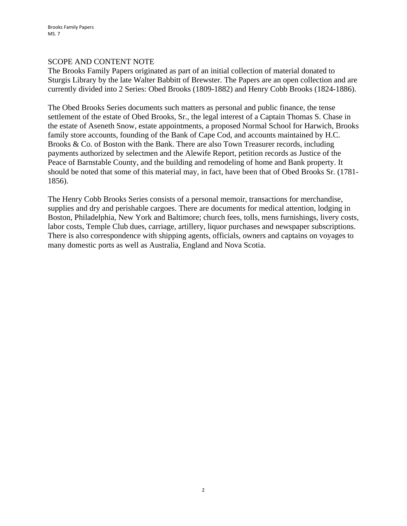# SCOPE AND CONTENT NOTE

The Brooks Family Papers originated as part of an initial collection of material donated to Sturgis Library by the late Walter Babbitt of Brewster. The Papers are an open collection and are currently divided into 2 Series: Obed Brooks (1809-1882) and Henry Cobb Brooks (1824-1886).

The Obed Brooks Series documents such matters as personal and public finance, the tense settlement of the estate of Obed Brooks, Sr., the legal interest of a Captain Thomas S. Chase in the estate of Aseneth Snow, estate appointments, a proposed Normal School for Harwich, Brooks family store accounts, founding of the Bank of Cape Cod, and accounts maintained by H.C. Brooks & Co. of Boston with the Bank. There are also Town Treasurer records, including payments authorized by selectmen and the Alewife Report, petition records as Justice of the Peace of Barnstable County, and the building and remodeling of home and Bank property. It should be noted that some of this material may, in fact, have been that of Obed Brooks Sr. (1781- 1856).

The Henry Cobb Brooks Series consists of a personal memoir, transactions for merchandise, supplies and dry and perishable cargoes. There are documents for medical attention, lodging in Boston, Philadelphia, New York and Baltimore; church fees, tolls, mens furnishings, livery costs, labor costs, Temple Club dues, carriage, artillery, liquor purchases and newspaper subscriptions. There is also correspondence with shipping agents, officials, owners and captains on voyages to many domestic ports as well as Australia, England and Nova Scotia.